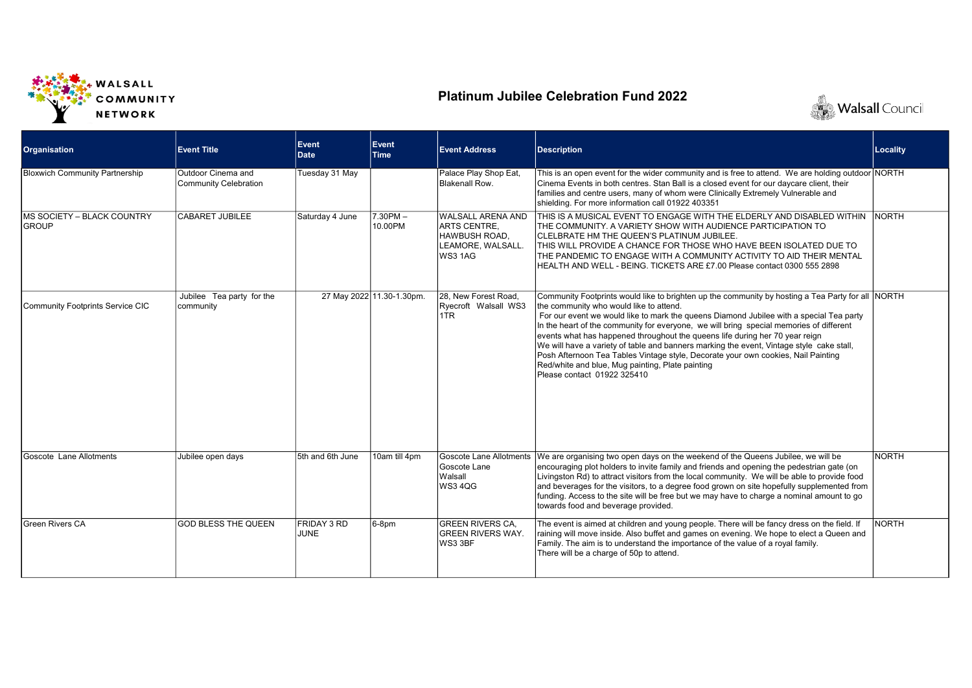

## Platinum Jubilee Celebration Fund 2022



| <b>Organisation</b>                                 | <b>Event Title</b>                          | Event<br>Date       | Event<br><b>Time</b>      | <b>Event Address</b>                                                                             | <b>Description</b>                                                                                                                                                                                                                                                                                                                                                                                                                                                                                                                                                                                                                                                                     | <b>Locality</b> |
|-----------------------------------------------------|---------------------------------------------|---------------------|---------------------------|--------------------------------------------------------------------------------------------------|----------------------------------------------------------------------------------------------------------------------------------------------------------------------------------------------------------------------------------------------------------------------------------------------------------------------------------------------------------------------------------------------------------------------------------------------------------------------------------------------------------------------------------------------------------------------------------------------------------------------------------------------------------------------------------------|-----------------|
| <b>Bloxwich Community Partnership</b>               | Outdoor Cinema and<br>Community Celebration | Tuesday 31 May      |                           | Palace Play Shop Eat,<br>Blakenall Row.                                                          | This is an open event for the wider community and is free to attend. We are holding outdoor NORTH<br>Cinema Events in both centres. Stan Ball is a closed event for our daycare client, their<br>families and centre users, many of whom were Clinically Extremely Vulnerable and<br>shielding. For more information call 01922 403351                                                                                                                                                                                                                                                                                                                                                 |                 |
| <b>IMS SOCIETY – BLACK COUNTRY</b><br><b>IGROUP</b> | <b>CABARET JUBILEE</b>                      | Saturday 4 June     | $7.30$ PM $-$<br>10.00PM  | WALSALL ARENA AND<br><b>ARTS CENTRE.</b><br>HAWBUSH ROAD.<br>LEAMORE, WALSALL.<br><b>WS3 1AG</b> | THIS IS A MUSICAL EVENT TO ENGAGE WITH THE ELDERLY AND DISABLED WITHIN<br>THE COMMUNITY. A VARIETY SHOW WITH AUDIENCE PARTICIPATION TO<br>CLELBRATE HM THE QUEEN'S PLATINUM JUBILEE.<br>THIS WILL PROVIDE A CHANCE FOR THOSE WHO HAVE BEEN ISOLATED DUE TO<br>THE PANDEMIC TO ENGAGE WITH A COMMUNITY ACTIVITY TO AID THEIR MENTAL<br>HEALTH AND WELL - BEING. TICKETS ARE £7.00 Please contact 0300 555 2898                                                                                                                                                                                                                                                                          | NORTH           |
| Community Footprints Service CIC                    | Jubilee Tea party for the<br>community      |                     | 27 May 2022 11.30-1.30pm. | 28. New Forest Road.<br>Ryecroft Walsall WS3<br>1TR                                              | Community Footprints would like to brighten up the community by hosting a Tea Party for all NORTH<br>the community who would like to attend.<br>For our event we would like to mark the queens Diamond Jubilee with a special Tea party<br>In the heart of the community for everyone, we will bring special memories of different<br>events what has happened throughout the queens life during her 70 year reign<br>We will have a variety of table and banners marking the event, Vintage style cake stall,<br>Posh Afternoon Tea Tables Vintage style, Decorate your own cookies, Nail Painting<br>Red/white and blue, Mug painting, Plate painting<br>Please contact 01922 325410 |                 |
| Goscote Lane Allotments                             | Jubilee open days                           | 5th and 6th June    | 10am till 4pm             | Goscote Lane<br>Walsall<br><b>WS34QG</b>                                                         | Goscote Lane Allotments We are organising two open days on the weekend of the Queens Jubilee, we will be<br>encouraging plot holders to invite family and friends and opening the pedestrian gate (on<br>Livingston Rd) to attract visitors from the local community. We will be able to provide food<br>and beverages for the visitors, to a degree food grown on site hopefully supplemented from<br>funding. Access to the site will be free but we may have to charge a nominal amount to go<br>towards food and beverage provided.                                                                                                                                                | NORTH           |
| <b>Green Rivers CA</b>                              | <b>GOD BLESS THE QUEEN</b>                  | FRIDAY 3 RD<br>JUNE | 6-8pm                     | <b>GREEN RIVERS CA.</b><br><b>GREEN RIVERS WAY.</b><br>WS3 3BF                                   | The event is aimed at children and young people. There will be fancy dress on the field. If<br>raining will move inside. Also buffet and games on evening. We hope to elect a Queen and<br>Family. The aim is to understand the importance of the value of a royal family.<br>There will be a charge of 50p to attend.                                                                                                                                                                                                                                                                                                                                                                 | <b>NORTH</b>    |